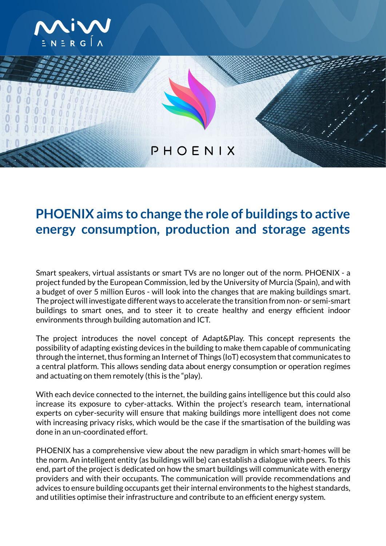



## **PHOENIX aims to change the role of buildings to active energy consumption, production and storage agents**

Smart speakers, virtual assistants or smart TVs are no longer out of the norm. PHOENIX - a project funded by the European Commission, led by the University of Murcia (Spain), and with a budget of over 5 million Euros - will look into the changes that are making buildings smart. The project will investigate different ways to accelerate the transition from non- or semi-smart buildings to smart ones, and to steer it to create healthy and energy efficient indoor environments through building automation and ICT.

The project introduces the novel concept of Adapt&Play. This concept represents the possibility of adapting existing devices in the building to make them capable of communicating through the internet, thus forming an Internet of Things (IoT) ecosystem that communicates to a central platform. This allows sending data about energy consumption or operation regimes and actuating on them remotely (this is the "play).

With each device connected to the internet, the building gains intelligence but this could also increase its exposure to cyber-attacks. Within the project's research team, international experts on cyber-security will ensure that making buildings more intelligent does not come with increasing privacy risks, which would be the case if the smartisation of the building was done in an un-coordinated effort.

PHOENIX has a comprehensive view about the new paradigm in which smart-homes will be the norm. An intelligent entity (as buildings will be) can establish a dialogue with peers. To this end, part of the project is dedicated on how the smart buildings will communicate with energy providers and with their occupants. The communication will provide recommendations and advices to ensure building occupants get their internal environments to the highest standards, and utilities optimise their infrastructure and contribute to an efficient energy system.